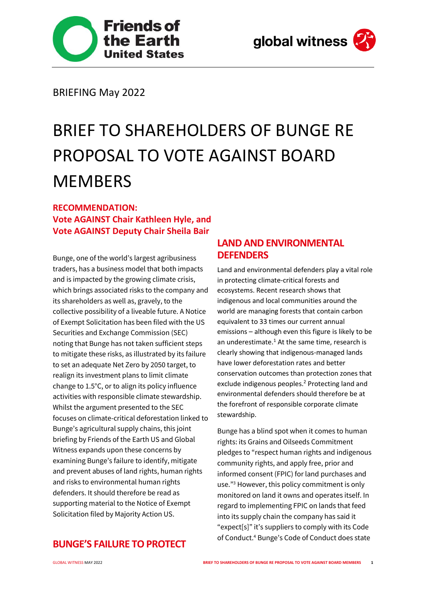



BRIEFING May 2022

# BRIEF TO SHAREHOLDERS OF BUNGE RE PROPOSAL TO VOTE AGAINST BOARD **MEMBERS**

## **RECOMMENDATION: Vote AGAINST Chair Kathleen Hyle, and Vote AGAINST Deputy Chair Sheila Bair**

Bunge, one of the world's largest agribusiness traders, has a business model that both impacts and is impacted by the growing climate crisis, which brings associated risks to the company and its shareholders as well as, gravely, to the collective possibility of a liveable future. A Notice of Exempt Solicitation has been filed with the US Securities and Exchange Commission (SEC) noting that Bunge has not taken sufficient steps to mitigate these risks, as illustrated by its failure to set an adequate Net Zero by 2050 target, to realign its investment plans to limit climate change to 1.5°C, or to align its policy influence activities with responsible climate stewardship. Whilst the argument presented to the SEC focuses on climate-critical deforestation linked to Bunge's agricultural supply chains, this joint briefing by Friends of the Earth US and Global Witness expands upon these concerns by examining Bunge's failure to identify, mitigate and prevent abuses of land rights, human rights and risks to environmental human rights defenders. It should therefore be read as supporting material to the Notice of Exempt Solicitation filed by Majority Action US.

## **LAND AND ENVIRONMENTAL DEFENDERS**

Land and environmental defenders play a vital role in protecting climate-critical forests and ecosystems. Recent research shows that indigenous and local communities around the world are managing forests that contain carbon equivalent to 33 times our current annual emissions – although even this figure is likely to be an underestimate. $1$  At the same time, research is clearly showing that indigenous-managed lands have lower deforestation rates and better conservation outcomes than protection zones that exclude indigenous peoples.<sup>2</sup> Protecting land and environmental defenders should therefore be at the forefront of responsible corporate climate stewardship.

Bunge has a blind spot when it comes to human rights: its Grains and Oilseeds Commitment pledges to "respect human rights and indigenous community rights, and apply free, prior and informed consent (FPIC) for land purchases and use."<sup>3</sup> However, this policy commitment is only monitored on land it owns and operates itself. In regard to implementing FPIC on lands that feed into its supply chain the company has said it "expect[s]" it's suppliers to comply with its Code of Conduct.<sup>4</sup> Bunge's Code of Conduct does state

#### **BUNGE'S FAILURE TO PROTECT**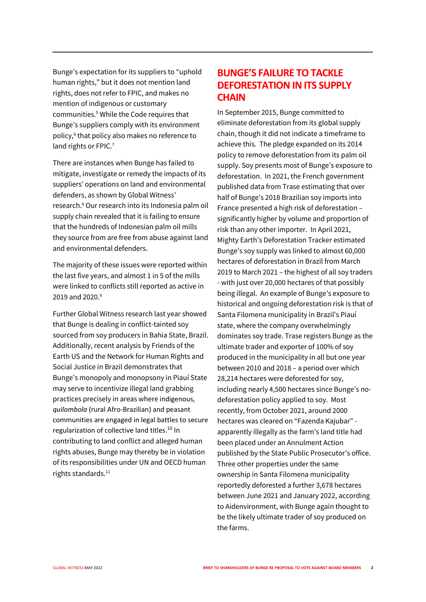Bunge's expectation for its suppliers to "uphold human rights," but it does not mention land rights, does not refer to FPIC, and makes no mention of indigenous or customary communities.<sup>5</sup> While the Code requires that Bunge's suppliers comply with its environment policy,<sup>6</sup> that policy also makes no reference to land rights or FPIC.<sup>7</sup>

There are instances when Bunge has failed to mitigate, investigate or remedy the impacts of its suppliers' operations on land and environmental defenders, as shown by Global Witness' research. <sup>8</sup> Our research into its Indonesia palm oil supply chain revealed that it is failing to ensure that the hundreds of Indonesian palm oil mills they source from are free from abuse against land and environmental defenders.

The majority of these issues were reported within the last five years, and almost 1 in 5 of the mills were linked to conflicts still reported as active in 2019 and 2020.<sup>9</sup>

Further Global Witness research last year showed that Bunge is dealing in conflict-tainted soy sourced from soy producers in Bahia State, Brazil. Additionally, recent analysis by Friends of the Earth US and the Network for Human Rights and Social Justice in Brazil demonstrates that Bunge's monopoly and monopsony in Piauí State may serve to incentivize illegal land grabbing practices precisely in areas where indigenous, *quilombola* (rural Afro-Brazilian) and peasant communities are engaged in legal battles to secure regularization of collective land titles.<sup>10</sup> In contributing to land conflict and alleged human rights abuses, Bunge may thereby be in violation of its responsibilities under UN and OECD human rights standards.<sup>11</sup>

### **BUNGE'S FAILURE TO TACKLE DEFORESTATION IN ITS SUPPLY CHAIN**

In September 2015, Bunge committed to eliminate deforestation from its global supply chain, though it did not indicate a timeframe to achieve this. The pledge expanded on its 2014 policy to remove deforestation from its palm oil supply. Soy presents most of Bunge's exposure to deforestation. In 2021, the French government published data from Trase estimating that over half of Bunge's 2018 Brazilian soy imports into France presented a high risk of deforestation – significantly higher by volume and proportion of risk than any other importer. In April 2021, Mighty Earth's Deforestation Tracker estimated Bunge's soy supply was linked to almost 60,000 hectares of deforestation in Brazil from March 2019 to March 2021 – the highest of all soy traders - with just over 20,000 hectares of that possibly being illegal. An example of Bunge's exposure to historical and ongoing deforestation risk is that of Santa Filomena municipality in Brazil's Piauí state, where the company overwhelmingly dominates soy trade. Trase registers Bunge as the ultimate trader and exporter of 100% of soy produced in the municipality in all but one year between 2010 and 2018 – a period over which 28,214 hectares were deforested for soy, including nearly 4,500 hectares since Bunge's nodeforestation policy applied to soy. Most recently, from October 2021, around 2000 hectares was cleared on "Fazenda Kajubar" apparently illegally as the farm's land title had been placed under an Annulment Action published by the State Public Prosecutor's office. Three other properties under the same ownership in Santa Filomena municipality reportedly deforested a further 3,678 hectares between June 2021 and January 2022, according to Aidenvironment, with Bunge again thought to be the likely ultimate trader of soy produced on the farms.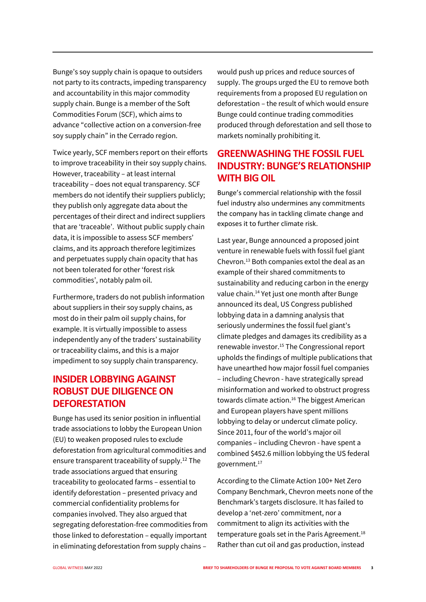Bunge's soy supply chain is opaque to outsiders not party to its contracts, impeding transparency and accountability in this major commodity supply chain. Bunge is a member of the Soft Commodities Forum (SCF), which aims to advance "collective action on a conversion-free soy supply chain" in the Cerrado region.

Twice yearly, SCF members report on their efforts to improve traceability in their soy supply chains. However, traceability – at least internal traceability – does not equal transparency. SCF members do not identify their suppliers publicly; they publish only aggregate data about the percentages of their direct and indirect suppliers that are 'traceable'. Without public supply chain data, it is impossible to assess SCF members' claims, and its approach therefore legitimizes and perpetuates supply chain opacity that has not been tolerated for other 'forest risk commodities', notably palm oil.

Furthermore, traders do not publish information about suppliers in their soy supply chains, as most do in their palm oil supply chains, for example. It is virtually impossible to assess independently any of the traders' sustainability or traceability claims, and this is a major impediment to soy supply chain transparency.

## **INSIDER LOBBYING AGAINST ROBUST DUE DILIGENCE ON DEFORESTATION**

Bunge has used its senior position in influential trade associations to lobby the European Union (EU) to weaken proposed rules to exclude deforestation from agricultural commodities and ensure transparent traceability of supply.<sup>12</sup> The trade associations argued that ensuring traceability to geolocated farms – essential to identify deforestation – presented privacy and commercial confidentiality problems for companies involved. They also argued that segregating deforestation-free commodities from those linked to deforestation – equally important in eliminating deforestation from supply chains –

would push up prices and reduce sources of supply. The groups urged the EU to remove both requirements from a proposed EU regulation on deforestation – the result of which would ensure Bunge could continue trading commodities produced through deforestation and sell those to markets nominally prohibiting it.

## **GREENWASHING THE FOSSIL FUEL INDUSTRY: BUNGE'S RELATIONSHIP WITH BIG OIL**

Bunge's commercial relationship with the fossil fuel industry also undermines any commitments the company has in tackling climate change and exposes it to further climate risk.

Last year, Bunge announced a proposed joint venture in renewable fuels with fossil fuel giant Chevron.<sup>13</sup> Both companies extol the deal as an example of their shared commitments to sustainability and reducing carbon in the energy value chain.<sup>14</sup> Yet just one month after Bunge announced its deal, US Congress published lobbying data in a damning analysis that seriously undermines the fossil fuel giant's climate pledges and damages its credibility as a renewable investor.<sup>15</sup> The Congressional report upholds the findings of multiple publications that have unearthed how major fossil fuel companies – including Chevron - have strategically spread misinformation and worked to obstruct progress towards climate action.<sup>16</sup> The biggest American and European players have spent millions lobbying to delay or undercut climate policy. Since 2011, four of the world's major oil companies – including Chevron - have spent a combined \$452.6 million lobbying the US federal government.<sup>17</sup>

According to the Climate Action 100+ Net Zero Company Benchmark, Chevron meets none of the Benchmark's targets disclosure. It has failed to develop a 'net-zero' commitment, nor a commitment to align its activities with the temperature goals set in the Paris Agreement.<sup>18</sup> Rather than cut oil and gas production, instead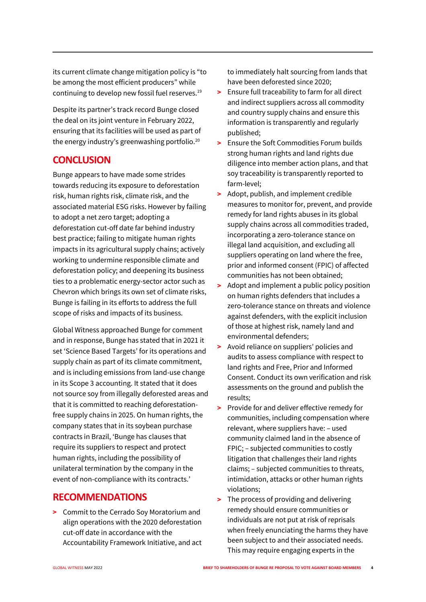its current climate change mitigation policy is "to be among the most efficient producers" while continuing to develop new fossil fuel reserves.<sup>19</sup>

Despite its partner's track record Bunge closed the deal on its joint venture in February 2022, ensuring that its facilities will be used as part of the energy industry's greenwashing portfolio.<sup>20</sup>

#### **CONCLUSION**

Bunge appears to have made some strides towards reducing its exposure to deforestation risk, human rights risk, climate risk, and the associated material ESG risks. However by failing to adopt a net zero target; adopting a deforestation cut-off date far behind industry best practice; failing to mitigate human rights impacts in its agricultural supply chains; actively working to undermine responsible climate and deforestation policy; and deepening its business ties to a problematic energy-sector actor such as Chevron which brings its own set of climate risks, Bunge is failing in its efforts to address the full scope of risks and impacts of its business.

Global Witness approached Bunge for comment and in response, Bunge has stated that in 2021 it set 'Science Based Targets' for its operations and supply chain as part of its climate commitment, and is including emissions from land-use change in its Scope 3 accounting. It stated that it does not source soy from illegally deforested areas and that it is committed to reaching deforestationfree supply chains in 2025. On human rights, the company states that in its soybean purchase contracts in Brazil, 'Bunge has clauses that require its suppliers to respect and protect human rights, including the possibility of unilateral termination by the company in the event of non-compliance with its contracts.'

#### **RECOMMENDATIONS**

> Commit to the Cerrado Soy Moratorium and align operations with the 2020 deforestation cut-off date in accordance with the Accountability Framework Initiative, and act to immediately halt sourcing from lands that have been deforested since 2020;

- > Ensure full traceability to farm for all direct and indirect suppliers across all commodity and country supply chains and ensure this information is transparently and regularly published;
- > Ensure the Soft Commodities Forum builds strong human rights and land rights due diligence into member action plans, and that soy traceability is transparently reported to farm-level;
- > Adopt, publish, and implement credible measures to monitor for, prevent, and provide remedy for land rights abuses in its global supply chains across all commodities traded, incorporating a zero-tolerance stance on illegal land acquisition, and excluding all suppliers operating on land where the free, prior and informed consent (FPIC) of affected communities has not been obtained;
- > Adopt and implement a public policy position on human rights defenders that includes a zero-tolerance stance on threats and violence against defenders, with the explicit inclusion of those at highest risk, namely land and environmental defenders;
- > Avoid reliance on suppliers' policies and audits to assess compliance with respect to land rights and Free, Prior and Informed Consent. Conduct its own verification and risk assessments on the ground and publish the results;
- > Provide for and deliver effective remedy for communities, including compensation where relevant, where suppliers have: – used community claimed land in the absence of FPIC; – subjected communities to costly litigation that challenges their land rights claims; – subjected communities to threats, intimidation, attacks or other human rights violations;
- > The process of providing and delivering remedy should ensure communities or individuals are not put at risk of reprisals when freely enunciating the harms they have been subject to and their associated needs. This may require engaging experts in the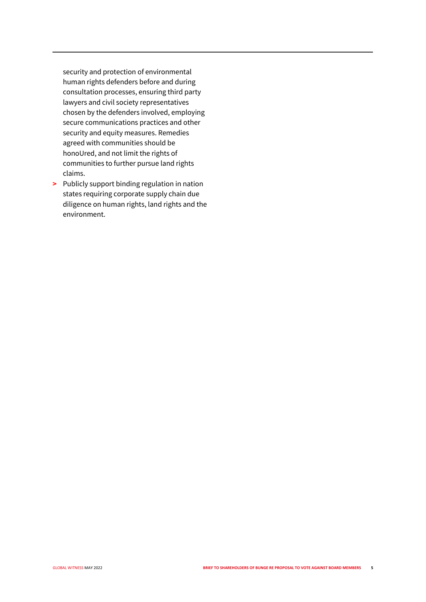security and protection of environmental human rights defenders before and during consultation processes, ensuring third party lawyers and civil society representatives chosen by the defenders involved, employing secure communications practices and other security and equity measures. Remedies agreed with communities should be honoUred, and not limit the rights of communities to further pursue land rights claims.

> Publicly support binding regulation in nation states requiring corporate supply chain due diligence on human rights, land rights and the environment.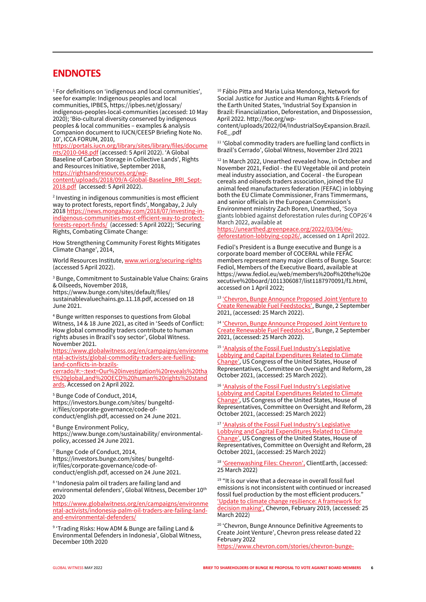#### **ENDNOTES**

<sup>1</sup> For definitions on 'indigenous and local communities', see for example: Indigenous peoples and local communities, IPBES, https://ipbes.net/glossary/ indigenous-peoples-local-communities (accessed: 10 May 2020); 'Bio-cultural diversity conserved by indigenous peoples & local communities – examples & analysis Companion document to IUCN/CEESP Briefing Note No. 10', ICCA FORUM, 2010,

[https://portals.iucn.org/library/sites/library/files/docume](https://portals.iucn.org/library/sites/library/files/documents/2010-048.pdf) [nts/2010-048.pdf](https://portals.iucn.org/library/sites/library/files/documents/2010-048.pdf) (accessed: 5 April 2022). 'A Global Baseline of Carbon Storage in Collective Lands', Rights and Resources Initiative, September 2018, [https://rightsandresources.org/wp](https://rightsandresources.org/wp-content/uploads/2018/09/A-Global-Baseline_RRI_Sept-2018.pdf)[content/uploads/2018/09/A-Global-Baseline\\_RRI\\_Sept-](https://rightsandresources.org/wp-content/uploads/2018/09/A-Global-Baseline_RRI_Sept-2018.pdf)[2018.pdf](https://rightsandresources.org/wp-content/uploads/2018/09/A-Global-Baseline_RRI_Sept-2018.pdf) (accessed: 5 April 2022).

2 Investing in indigenous communities is most efficient way to protect forests, report finds', Mongabay, 2 July 201[8 https://news.mongabay.com/2018/07/investing-in](https://news.mongabay.com/2018/07/investing-in-indigenous-communities-most-efficient-way-to-protect-forests-report-finds/)[indigenous-communities-most-efficient-way-to-protect](https://news.mongabay.com/2018/07/investing-in-indigenous-communities-most-efficient-way-to-protect-forests-report-finds/)[forests-report-finds/](https://news.mongabay.com/2018/07/investing-in-indigenous-communities-most-efficient-way-to-protect-forests-report-finds/) (accessed: 5 April 2022); 'Securing Rights, Combating Climate Change:

How Strengthening Community Forest Rights Mitigates Climate Change', 2014,

World Resources Institute[, www.wri.org/securing-rights](http://www.wri.org/securing-rights)  (accessed 5 April 2022).

<sup>3</sup> Bunge, Commitment to Sustainable Value Chains: Grains & Oilseeds, November 2018, https://www.bunge.com/sites/default/files/ sustainablevaluechains.go.11.18.pdf, accessed on 18 June 2021.

<sup>4</sup> Bunge written responses to questions from Global Witness, 14 & 18 June 2021, as cited in 'Seeds of Conflict: How global commodity traders contribute to human rights abuses in Brazil's soy sector', Global Witness. November 2021.

[https://www.globalwitness.org/en/campaigns/environme](https://www.globalwitness.org/en/campaigns/environmental-activists/global-commodity-traders-are-fuelling-land-conflicts-in-brazils-cerrado/#:~:text=Our%20investigation%20reveals%20that%20global,and%20OECD%20human%20rights%20standards) [ntal-activists/global-commodity-traders-are-fuelling](https://www.globalwitness.org/en/campaigns/environmental-activists/global-commodity-traders-are-fuelling-land-conflicts-in-brazils-cerrado/#:~:text=Our%20investigation%20reveals%20that%20global,and%20OECD%20human%20rights%20standards)[land-conflicts-in-brazils-](https://www.globalwitness.org/en/campaigns/environmental-activists/global-commodity-traders-are-fuelling-land-conflicts-in-brazils-cerrado/#:~:text=Our%20investigation%20reveals%20that%20global,and%20OECD%20human%20rights%20standards)

[cerrado/#:~:text=Our%20investigation%20reveals%20tha](https://www.globalwitness.org/en/campaigns/environmental-activists/global-commodity-traders-are-fuelling-land-conflicts-in-brazils-cerrado/#:~:text=Our%20investigation%20reveals%20that%20global,and%20OECD%20human%20rights%20standards) [t%20global,and%20OECD%20human%20rights%20stand](https://www.globalwitness.org/en/campaigns/environmental-activists/global-commodity-traders-are-fuelling-land-conflicts-in-brazils-cerrado/#:~:text=Our%20investigation%20reveals%20that%20global,and%20OECD%20human%20rights%20standards) [ards.](https://www.globalwitness.org/en/campaigns/environmental-activists/global-commodity-traders-are-fuelling-land-conflicts-in-brazils-cerrado/#:~:text=Our%20investigation%20reveals%20that%20global,and%20OECD%20human%20rights%20standards) Accessed on 2 April 2022.

<sup>5</sup> Bunge Code of Conduct, 2014, https://investors.bunge.com/sites/ bungeltdir/files/corporate-governance/code-ofconduct/english.pdf, accessed on 24 June 2021.

<sup>6</sup> Bunge Environment Policy, https://www.bunge.com/sustainability/ environmentalpolicy, accessed 24 June 2021.

<sup>7</sup> Bunge Code of Conduct, 2014, https://investors.bunge.com/sites/ bungeltdir/files/corporate-governance/code-ofconduct/english.pdf, accessed on 24 June 2021.

8 'Indonesia palm oil traders are failing land and environmental defenders', Global Witness, December 10th 2020

[https://www.globalwitness.org/en/campaigns/environme](https://www.globalwitness.org/en/campaigns/environmental-activists/indonesia-palm-oil-traders-are-failing-land-and-environmental-defenders/) [ntal-activists/indonesia-palm-oil-traders-are-failing-land](https://www.globalwitness.org/en/campaigns/environmental-activists/indonesia-palm-oil-traders-are-failing-land-and-environmental-defenders/)[and-environmental-defenders/](https://www.globalwitness.org/en/campaigns/environmental-activists/indonesia-palm-oil-traders-are-failing-land-and-environmental-defenders/)

9 'Trading Risks: How ADM & Bunge are failing Land & Environmental Defenders in Indonesia', Global Witness, December 10th 2020

<sup>10</sup> Fábio Pitta and Maria Luisa Mendonça, Network for Social Justice for Justice and Human Rights & Friends of the Earth United States, 'Industrial Soy Expansion in Brazil: Financialization, Deforestation, and Dispossession, April 2022. http://foe.org/wp-

content/uploads/2022/04/IndustrialSoyExpansion.Brazil. FoE\_.pdf

<sup>11</sup> 'Global commodity traders are fuelling land conflicts in Brazil's Cerrado', Global Witness, November 23rd 2021

<sup>12</sup> In March 2022, Unearthed revealed how, in October and November 2021, Fediol - the EU Vegetable oil and protein meal industry association, and Coceral - the European cereals and oilseeds traders association, joined the EU animal feed manufacturers federation (FEFAC) in lobbying both the EU Climate Commissioner, Frans Timmermans, and senior officials in the European Commission's Environment ministry Zach Boren, Unearthed, 'Soya giants lobbied against deforestation rules during COP26'4 March 2022, available at

[https://unearthed.greenpeace.org/2022/03/04/eu](https://unearthed.greenpeace.org/2022/03/04/eu-deforestation-lobbying-cop26/)[deforestation-lobbying-cop26/,](https://unearthed.greenpeace.org/2022/03/04/eu-deforestation-lobbying-cop26/) accessed on 1 April 2022.

Fediol's President is a Bunge executive and Bunge is a corporate board member of COCERAL while FEFAC members represent many major clients of Bunge. Source: Fediol, Members of the Executive Board, available at https://www.fediol.eu/web/members%20of%20the%20e xecutive%20board/1011306087/list1187970091/f1.html, accessed on 1 April 2022;

13 'Chevron, Bunge Announce Proposed Joint Venture to [Create Renewable Fuel Feedstocks'](https://investors.bunge.com/investors/news-and-events/press-releases/year/2021/09-02-2021), Bunge, 2 September 2021, (accessed: 25 March 2022).

<sup>14</sup> 'Chevron, Bunge Announce Proposed Joint Venture to [Create Renewable Fuel Feedstocks'](https://investors.bunge.com/investors/news-and-events/press-releases/year/2021/09-02-2021), Bunge, 2 September 2021, (accessed: 25 March 2022).

<sup>15</sup> 'Analysis of the Fossil Fuel Industry's Legislative [Lobbying and Capital Expenditures Related to Climate](https://oversight.house.gov/sites/democrats.oversight.house.gov/files/Analysis%20of%20the%20Fossil%20Fuel%20Industrys%20Legislative%20Lobbying%20and%20Capital%20Expenditures%20Related%20to%20Climate%20Change%20-%20Staff%20Memo%20%2810.28.21%29.pdf)  [Change'](https://oversight.house.gov/sites/democrats.oversight.house.gov/files/Analysis%20of%20the%20Fossil%20Fuel%20Industrys%20Legislative%20Lobbying%20and%20Capital%20Expenditures%20Related%20to%20Climate%20Change%20-%20Staff%20Memo%20%2810.28.21%29.pdf), US Congress of the United States, House of Representatives, Committee on Oversight and Reform, 28 October 2021, (accessed: 25 March 2022).

<sup>16</sup> 'Analysis of the Fossil Fuel Industry's Legislative [Lobbying and Capital Expenditures Related to Climate](https://oversight.house.gov/sites/democrats.oversight.house.gov/files/Analysis%20of%20the%20Fossil%20Fuel%20Industrys%20Legislative%20Lobbying%20and%20Capital%20Expenditures%20Related%20to%20Climate%20Change%20-%20Staff%20Memo%20%2810.28.21%29.pdf)  [Change'](https://oversight.house.gov/sites/democrats.oversight.house.gov/files/Analysis%20of%20the%20Fossil%20Fuel%20Industrys%20Legislative%20Lobbying%20and%20Capital%20Expenditures%20Related%20to%20Climate%20Change%20-%20Staff%20Memo%20%2810.28.21%29.pdf), US Congress of the United States, House of Representatives, Committee on Oversight and Reform, 28 October 2021, (accessed: 25 March 2022)

<sup>17</sup> 'Analysis of the Fossil Fuel Industry's Legislative [Lobbying and Capital Expenditures Related to Climate](https://oversight.house.gov/sites/democrats.oversight.house.gov/files/Analysis%20of%20the%20Fossil%20Fuel%20Industrys%20Legislative%20Lobbying%20and%20Capital%20Expenditures%20Related%20to%20Climate%20Change%20-%20Staff%20Memo%20%2810.28.21%29.pdf)  [Change'](https://oversight.house.gov/sites/democrats.oversight.house.gov/files/Analysis%20of%20the%20Fossil%20Fuel%20Industrys%20Legislative%20Lobbying%20and%20Capital%20Expenditures%20Related%20to%20Climate%20Change%20-%20Staff%20Memo%20%2810.28.21%29.pdf), US Congress of the United States, House of Representatives, Committee on Oversight and Reform, 28 October 2021, (accessed: 25 March 2022)

<sup>18</sup> ['Greenwashing Files: Chevron',](https://www.clientearth.org/projects/the-greenwashing-files/chevron/#:~:text=The%20company%20has%20pledged%20an,set%20against%20a%202016%20baseline.) ClientEarth, (accessed: 25 March 2022)

<sup>19</sup> "It is our view that a decrease in overall fossil fuel emissions is not inconsistent with continued or increased fossil fuel production by the most efficient producers." ['Update to climate change resilience: A framework for](https://www.chevron.com/-/media/shared-media/documents/update-to-climate-change-resilience.pdf)  [decision making',](https://www.chevron.com/-/media/shared-media/documents/update-to-climate-change-resilience.pdf) Chevron, February 2019, (accessed: 25 March 2022)

<sup>20</sup> 'Chevron, Bunge Announce Definitive Agreements to Create Joint Venture', Chevron press release dated 22 February 2022 [https://www.chevron.com/stories/chevron-bunge-](https://www.chevron.com/stories/chevron-bunge-announce-definitive-agreements-to-create-joint-venture)